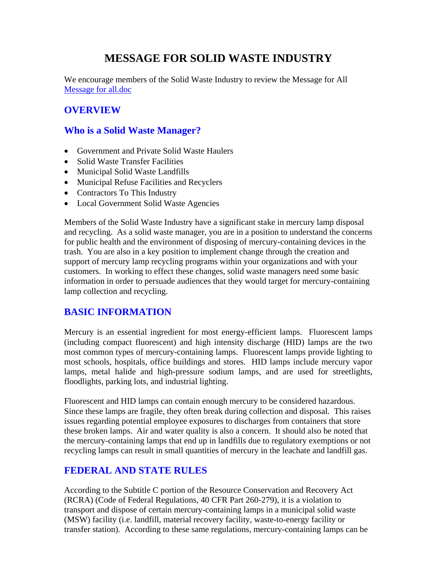# **MESSAGE FOR SOLID WASTE INDUSTRY**

We encourage members of the Solid Waste Industry to review the Message for All Message for all.doc

# **OVERVIEW**

### **Who is a Solid Waste Manager?**

- Government and Private Solid Waste Haulers
- Solid Waste Transfer Facilities
- Municipal Solid Waste Landfills
- Municipal Refuse Facilities and Recyclers
- Contractors To This Industry
- Local Government Solid Waste Agencies

Members of the Solid Waste Industry have a significant stake in mercury lamp disposal and recycling. As a solid waste manager, you are in a position to understand the concerns for public health and the environment of disposing of mercury-containing devices in the trash. You are also in a key position to implement change through the creation and support of mercury lamp recycling programs within your organizations and with your customers. In working to effect these changes, solid waste managers need some basic information in order to persuade audiences that they would target for mercury-containing lamp collection and recycling.

# **BASIC INFORMATION**

Mercury is an essential ingredient for most energy-efficient lamps. Fluorescent lamps (including compact fluorescent) and high intensity discharge (HID) lamps are the two most common types of mercury-containing lamps. Fluorescent lamps provide lighting to most schools, hospitals, office buildings and stores. HID lamps include mercury vapor lamps, metal halide and high-pressure sodium lamps, and are used for streetlights, floodlights, parking lots, and industrial lighting.

Fluorescent and HID lamps can contain enough mercury to be considered hazardous. Since these lamps are fragile, they often break during collection and disposal. This raises issues regarding potential employee exposures to discharges from containers that store these broken lamps. Air and water quality is also a concern. It should also be noted that the mercury-containing lamps that end up in landfills due to regulatory exemptions or not recycling lamps can result in small quantities of mercury in the leachate and landfill gas.

# **FEDERAL AND STATE RULES**

According to the Subtitle C portion of the Resource Conservation and Recovery Act (RCRA) (Code of Federal Regulations, 40 CFR Part 260-279), it is a violation to transport and dispose of certain mercury-containing lamps in a municipal solid waste (MSW) facility (i.e. landfill, material recovery facility, waste-to-energy facility or transfer station). According to these same regulations, mercury-containing lamps can be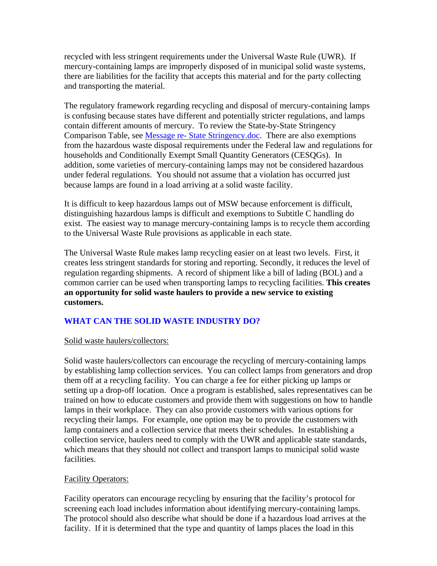recycled with less stringent requirements under the Universal Waste Rule (UWR).If mercury-containing lamps are improperly disposed of in municipal solid waste systems, there are liabilities for the facility that accepts this material and for the party collecting and transporting the material.

The regulatory framework regarding recycling and disposal of mercury-containing lamps is confusing because states have different and potentially stricter regulations, and lamps contain different amounts of mercury. To review the State-by-State Stringency Comparison Table, see Message re- State Stringency.doc. There are also exemptions from the hazardous waste disposal requirements under the Federal law and regulations for households and Conditionally Exempt Small Quantity Generators (CESQGs). In addition, some varieties of mercury-containing lamps may not be considered hazardous under federal regulations. You should not assume that a violation has occurred just because lamps are found in a load arriving at a solid waste facility.

It is difficult to keep hazardous lamps out of MSW because enforcement is difficult, distinguishing hazardous lamps is difficult and exemptions to Subtitle C handling do exist. The easiest way to manage mercury-containing lamps is to recycle them according to the Universal Waste Rule provisions as applicable in each state.

The Universal Waste Rule makes lamp recycling easier on at least two levels. First, it creates less stringent standards for storing and reporting. Secondly, it reduces the level of regulation regarding shipments. A record of shipment like a bill of lading (BOL) and a common carrier can be used when transporting lamps to recycling facilities. **This creates an opportunity for solid waste haulers to provide a new service to existing customers.**

### **WHAT CAN THE SOLID WASTE INDUSTRY DO?**

#### Solid waste haulers/collectors:

Solid waste haulers/collectors can encourage the recycling of mercury-containing lamps by establishing lamp collection services. You can collect lamps from generators and drop them off at a recycling facility. You can charge a fee for either picking up lamps or setting up a drop-off location. Once a program is established, sales representatives can be trained on how to educate customers and provide them with suggestions on how to handle lamps in their workplace. They can also provide customers with various options for recycling their lamps. For example, one option may be to provide the customers with lamp containers and a collection service that meets their schedules. In establishing a collection service, haulers need to comply with the UWR and applicable state standards, which means that they should not collect and transport lamps to municipal solid waste facilities.

### Facility Operators:

Facility operators can encourage recycling by ensuring that the facility's protocol for screening each load includes information about identifying mercury-containing lamps. The protocol should also describe what should be done if a hazardous load arrives at the facility. If it is determined that the type and quantity of lamps places the load in this